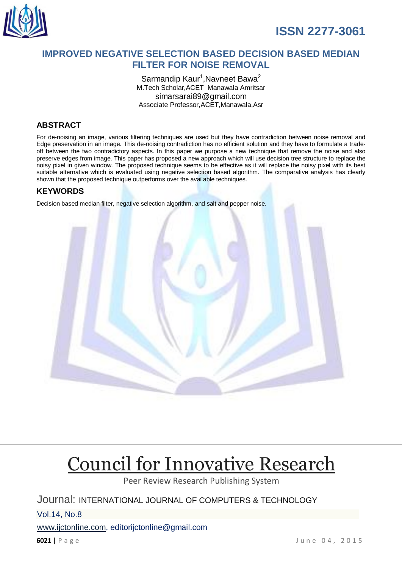

# **IMPROVED NEGATIVE SELECTION BASED DECISION BASED MEDIAN FILTER FOR NOISE REMOVAL**

Sarmandip Kaur<sup>1</sup>, Navneet Bawa<sup>2</sup> M.Tech Scholar,ACET Manawala Amritsar simarsarai89@gmail.com Associate Professor,ACET,Manawala,Asr

# **ABSTRACT**

For de-noising an image, various filtering techniques are used but they have contradiction between noise removal and Edge preservation in an image. This de-noising contradiction has no efficient solution and they have to formulate a tradeoff between the two contradictory aspects. In this paper we purpose a new technique that remove the noise and also preserve edges from image. This paper has proposed a new approach which will use decision tree structure to replace the noisy pixel in given window. The proposed technique seems to be effective as it will replace the noisy pixel with its best suitable alternative which is evaluated using negative selection based algorithm. The comparative analysis has clearly shown that the proposed technique outperforms over the available techniques.

# **KEYWORDS**

Decision based median filter, negative selection algorithm, and salt and pepper noise.



# [Council for Innovative Research](http://member.cirworld.com/)

Peer Review Research Publishing System

Journal: INTERNATIONAL JOURNAL OF COMPUTERS & TECHNOLOGY

Vol.14, No.8

[www.ijctonline.com,](http://www.ijctonline.com/) editorijctonline@gmail.com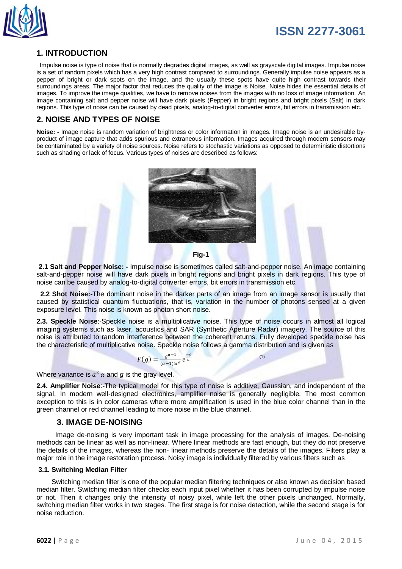

# **1. INTRODUCTION**

 Impulse noise is type of noise that is normally degrades digital images, as well as grayscale digital images. Impulse noise is a set of random pixels which has a very high contrast compared to surroundings. Generally impulse noise appears as a pepper of bright or dark spots on the image, and the usually these spots have quite high contrast towards their surroundings areas. The major factor that reduces the quality of the image is Noise. Noise hides the essential details of images. To improve the image qualities, we have to remove noises from the images with no loss of image information. An image containing salt and pepper noise will have dark pixels (Pepper) in bright regions and bright pixels (Salt) in dark regions. This type of noise can be caused by dead pixels, analog-to-digital converter errors, bit errors in transmission etc.

# **2. NOISE AND TYPES OF NOISE**

**Noise: -** Image noise is random variation of brightness or color information in images. Image noise is an undesirable byproduct of image capture that adds spurious and extraneous information. Images acquired through modern sensors may be contaminated by a variety of noise sources. Noise refers to stochastic variations as opposed to deterministic distortions such as shading or lack of focus. Various types of noises are described as follows:



**2.1 Salt and Pepper Noise: -** Impulse noise is sometimes called salt-and-pepper noise. An image containing salt-and-pepper noise will have dark pixels in bright regions and bright pixels in dark regions. This type of noise can be caused by analog-to-digital converter errors, bit errors in transmission etc.

 **2.2 Shot Noise:-**The dominant noise in the darker parts of an image from an image sensor is usually that caused by statistical quantum fluctuations, that is, variation in the number of photons sensed at a given exposure level. This noise is known as photon short noise.

**2.3. Speckle Noise**:-Speckle noise is a multiplicative noise. This type of noise occurs in almost all logical imaging systems such as laser, acoustics and SAR (Synthetic Aperture Radar) imagery. The source of this noise is attributed to random interference between the coherent returns. Fully developed speckle noise has the characteristic of multiplicative noise. Speckle noise follows a gamma distribution and is given as

$$
F(g) = \frac{g^{\alpha - 1}}{(\alpha - 1)! \alpha^{\alpha}} e^{\frac{-g}{\alpha}}
$$
 (1)

Where variance is  $a^2 \alpha$  and g is the gray level.

**2.4. Amplifier Noise**:**-**The typical model for this type of noise is additive, Gaussian, and independent of the signal. In modern well-designed electronics, amplifier noise is generally negligible. The most common exception to this is in color cameras where more amplification is used in the blue color channel than in the green channel or red channel leading to more noise in the blue channel.

### **3. IMAGE DE-NOISING**

 Image de-noising is very important task in image processing for the analysis of images. De-noising methods can be linear as well as non-linear. Where linear methods are fast enough, but they do not preserve the details of the images, whereas the non- linear methods preserve the details of the images. Filters play a major role in the image restoration process. Noisy image is individually filtered by various filters such as

#### **3.1. Switching Median Filter**

 Switching median filter is one of the popular median filtering techniques or also known as decision based median filter. Switching median filter checks each input pixel whether it has been corrupted by impulse noise or not. Then it changes only the intensity of noisy pixel, while left the other pixels unchanged. Normally, switching median filter works in two stages. The first stage is for noise detection, while the second stage is for noise reduction.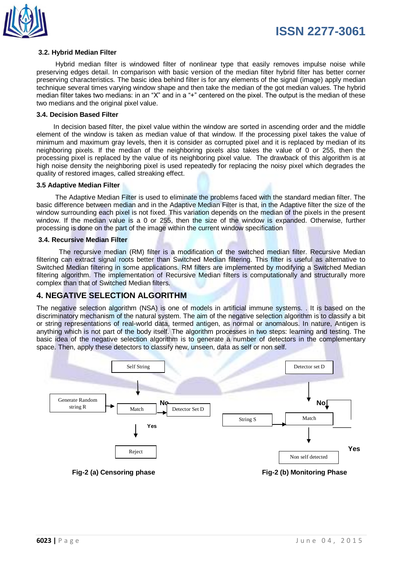

#### **3.2. Hybrid Median Filter**

 Hybrid median filter is windowed filter of nonlinear type that easily removes impulse noise while preserving edges detail. In comparison with basic version of the median filter hybrid filter has better corner preserving characteristics. The basic idea behind filter is for any elements of the signal (image) apply median technique several times varying window shape and then take the median of the got median values. The hybrid median filter takes two medians: in an "X" and in a "+" centered on the pixel. The output is the median of these two medians and the original pixel value.

#### **3.4. Decision Based Filter**

 In decision based filter, the pixel value within the window are sorted in ascending order and the middle element of the window is taken as median value of that window. If the processing pixel takes the value of minimum and maximum gray levels, then it is consider as corrupted pixel and it is replaced by median of its neighboring pixels. If the median of the neighboring pixels also takes the value of 0 or 255, then the processing pixel is replaced by the value of its neighboring pixel value. The drawback of this algorithm is at high noise density the neighboring pixel is used repeatedly for replacing the noisy pixel which degrades the quality of restored images, called streaking effect.

#### **3.5 Adaptive Median Filter**

 The Adaptive Median Filter is used to eliminate the problems faced with the standard median filter. The basic difference between median and in the Adaptive Median Filter is that, in the Adaptive filter the size of the window surrounding each pixel is not fixed. This variation depends on the median of the pixels in the present window. If the median value is a 0 or 255, then the size of the window is expanded. Otherwise, further processing is done on the part of the image within the current window specification

### **3.4. Recursive Median Filter**

 The recursive median (RM) filter is a modification of the switched median filter. Recursive Median filtering can extract signal roots better than Switched Median filtering. This filter is useful as alternative to Switched Median filtering in some applications. RM filters are implemented by modifying a Switched Median filtering algorithm. The implementation of Recursive Median filters is computationally and structurally more complex than that of Switched Median filters.

### **4. NEGATIVE SELECTION ALGORITHM**

The negative selection algorithm (NSA) is one of models in artificial immune systems. . It is based on the discriminatory mechanism of the natural system. The aim of the negative selection algorithm is to classify a bit or string representations of real-world data, termed antigen, as normal or anomalous. In nature, Antigen is anything which is not part of the body itself. The algorithm processes in two steps: learning and testing. The basic idea of the negative selection algorithm is to generate a number of detectors in the complementary space. Then, apply these detectors to classify new, unseen, data as self or non self.

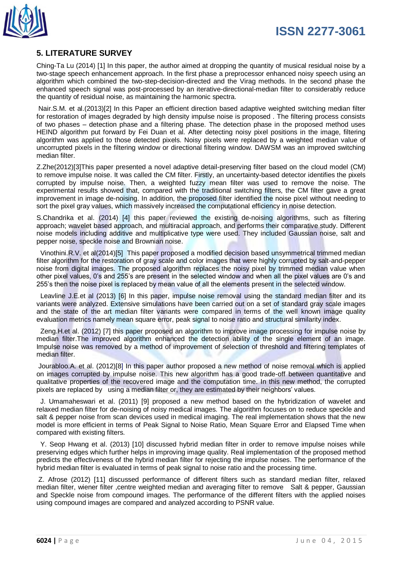

# **5. LITERATURE SURVEY**

Ching-Ta Lu (2014) [1] In this paper, the author aimed at dropping the quantity of musical residual noise by a two-stage speech enhancement approach. In the first phase a preprocessor enhanced noisy speech using an algorithm which combined the two-step-decision-directed and the Virag methods. In the second phase the enhanced speech signal was post-processed by an iterative-directional-median filter to considerably reduce the quantity of residual noise, as maintaining the harmonic spectra.

Nair.S.M. et al.(2013)[2] In this Paper an efficient direction based adaptive weighted switching median filter for restoration of images degraded by high density impulse noise is proposed . The filtering process consists of two phases – detection phase and a filtering phase. The detection phase in the proposed method uses HEIND algorithm put forward by Fei Duan et al. After detecting noisy pixel positions in the image, filtering algorithm was applied to those detected pixels. Noisy pixels were replaced by a weighted median value of uncorrupted pixels in the filtering window or directional filtering window. DAWSM was an improved switching median filter.

Z.Zhe(2012)[3]This paper presented a novel adaptive detail-preserving filter based on the cloud model (CM) to remove impulse noise. It was called the CM filter. Firstly, an uncertainty-based detector identifies the pixels corrupted by impulse noise. Then, a weighted fuzzy mean filter was used to remove the noise. The experimental results showed that, compared with the traditional switching filters, the CM filter gave a great improvement in image de-noising. In addition, the proposed filter identified the noise pixel without needing to sort the pixel gray values, which massively increased the computational efficiency in noise detection.

S.Chandrika et al. (2014) [4] this paper reviewed the existing de-noising algorithms, such as filtering approach; wavelet based approach, and multiracial approach, and performs their comparative study. Different noise models including additive and multiplicative type were used. They included Gaussian noise, salt and pepper noise, speckle noise and Brownian noise.

Vinothini.R.V. et al(2014)[5] This paper proposed a modified decision based unsymmetrical trimmed median filter algorithm for the restoration of gray scale and color images that were highly corrupted by salt-and-pepper noise from digital images. The proposed algorithm replaces the noisy pixel by trimmed median value when other pixel values, 0's and 255's are present in the selected window and when all the pixel values are 0's and 255's then the noise pixel is replaced by mean value of all the elements present in the selected window.

 Leavline J.E.et al (2013) [6] In this paper, impulse noise removal using the standard median filter and its variants were analyzed. Extensive simulations have been carried out on a set of standard gray scale images and the state of the art median filter variants were compared in terms of the well known image quality evaluation metrics namely mean square error, peak signal to noise ratio and structural similarity index.

 Zeng.H.et al. (2012) [7] this paper proposed an algorithm to improve image processing for impulse noise by median filter.The improved algorithm enhanced the detection ability of the single element of an image. Impulse noise was removed by a method of improvement of selection of threshold and filtering templates of median filter.

Jourabloo.A. et al. (2012)[8] In this paper author proposed a new method of noise removal which is applied on images corrupted by impulse noise. This new algorithm has a good trade-off between quantitative and qualitative properties of the recovered image and the computation time. In this new method, the corrupted pixels are replaced by using a median filter or, they are estimated by their neighbors' values.

J. Umamaheswari et al. (2011) [9] proposed a new method based on the hybridization of wavelet and relaxed median filter for de-noising of noisy medical images. The algorithm focuses on to reduce speckle and salt & pepper noise from scan devices used in medical imaging. The real implementation shows that the new model is more efficient in terms of Peak Signal to Noise Ratio, Mean Square Error and Elapsed Time when compared with existing filters.

Y. Seop Hwang et al. (2013) [10] discussed hybrid median filter in order to remove impulse noises while preserving edges which further helps in improving image quality. Real implementation of the proposed method predicts the effectiveness of the hybrid median filter for rejecting the impulse noises. The performance of the hybrid median filter is evaluated in terms of peak signal to noise ratio and the processing time.

Z. Afrose (2012) [11] discussed performance of different filters such as standard median filter, relaxed median filter, wiener filter ,centre weighted median and averaging filter to remove Salt & pepper, Gaussian and Speckle noise from compound images. The performance of the different filters with the applied noises using compound images are compared and analyzed according to PSNR value.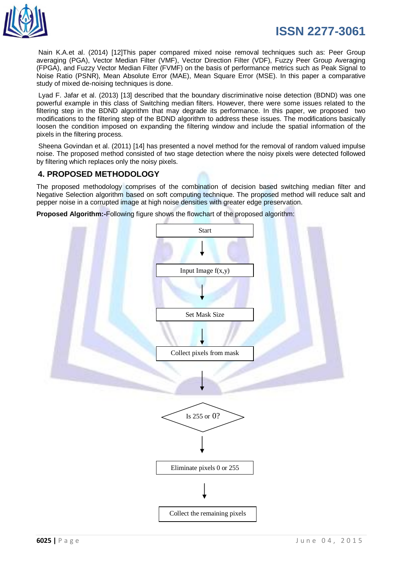

Nain K.A.et al. (2014) [12]This paper compared mixed noise removal techniques such as: Peer Group averaging (PGA), Vector Median Filter (VMF), Vector Direction Filter (VDF), Fuzzy Peer Group Averaging (FPGA), and Fuzzy Vector Median Filter (FVMF) on the basis of performance metrics such as Peak Signal to Noise Ratio (PSNR), Mean Absolute Error (MAE), Mean Square Error (MSE). In this paper a comparative study of mixed de-noising techniques is done.

Lyad F. Jafar et al. (2013) [13] described that the boundary discriminative noise detection (BDND) was one powerful example in this class of Switching median filters. However, there were some issues related to the filtering step in the BDND algorithm that may degrade its performance. In this paper, we proposed two modifications to the filtering step of the BDND algorithm to address these issues. The modifications basically loosen the condition imposed on expanding the filtering window and include the spatial information of the pixels in the filtering process.

Sheena Govindan et al. (2011) [14] has presented a novel method for the removal of random valued impulse noise. The proposed method consisted of two stage detection where the noisy pixels were detected followed by filtering which replaces only the noisy pixels.

# **4. PROPOSED METHODOLOGY**

The proposed methodology comprises of the combination of decision based switching median filter and Negative Selection algorithm based on soft computing technique. The proposed method will reduce salt and pepper noise in a corrupted image at high noise densities with greater edge preservation.

**Proposed Algorithm:-**Following figure shows the flowchart of the proposed algorithm:

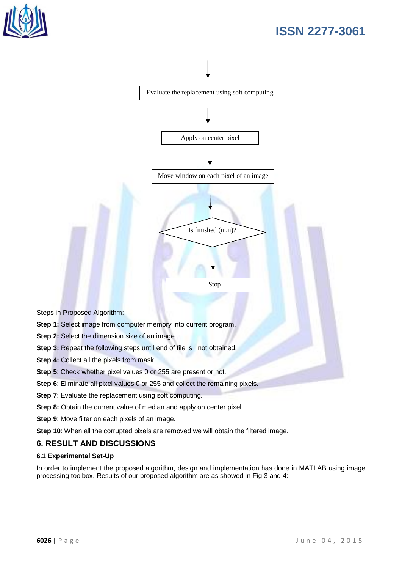



Steps in Proposed Algorithm:

- **Step 1:** Select image from computer memory into current program.
- **Step 2:** Select the dimension size of an image.
- **Step 3:** Repeat the following steps until end of file is not obtained.
- **Step 4: Collect all the pixels from mask.**
- **Step 5**: Check whether pixel values 0 or 255 are present or not.
- **Step 6**: Eliminate all pixel values 0 or 255 and collect the remaining pixels.
- **Step 7:** Evaluate the replacement using soft computing.
- **Step 8:** Obtain the current value of median and apply on center pixel.
- **Step 9**: Move filter on each pixels of an image.
- **Step 10**: When all the corrupted pixels are removed we will obtain the filtered image.

### **6. RESULT AND DISCUSSIONS**

### **6.1 Experimental Set-Up**

In order to implement the proposed algorithm, design and implementation has done in MATLAB using image processing toolbox. Results of our proposed algorithm are as showed in Fig 3 and 4:-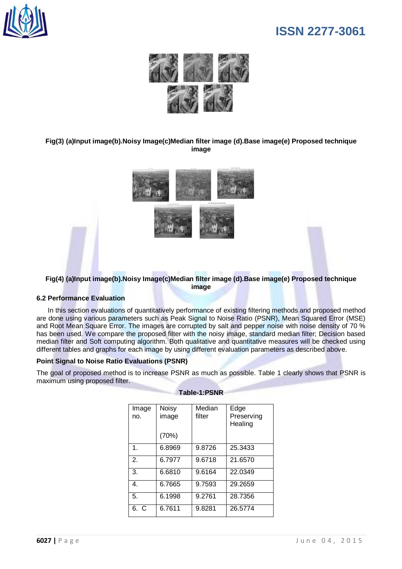



### **Fig(3) (a)Input image(b).Noisy Image(c)Median filter image (d).Base image(e) Proposed technique image**



### **Fig(4) (a)Input image(b).Noisy Image(c)Median filter image (d).Base image(e) Proposed technique image**

### **6.2 Performance Evaluation**

 In this section evaluations of quantitatively performance of existing filtering methods and proposed method are done using various parameters such as Peak Signal to Noise Ratio (PSNR), Mean Squared Error (MSE) and Root Mean Square Error. The images are corrupted by salt and pepper noise with noise density of 70 % has been used. We compare the proposed filter with the noisy image, standard median filter; Decision based median filter and Soft computing algorithm. Both qualitative and quantitative measures will be checked using different tables and graphs for each image by using different evaluation parameters as described above.

### **Point Signal to Noise Ratio Evaluations (PSNR)**

The goal of proposed method is to increase PSNR as much as possible. Table 1 clearly shows that PSNR is maximum using proposed filter.

| Image<br>no.       | <b>Noisy</b><br>image | Median<br>filter | Edge<br>Preserving<br>Healing |
|--------------------|-----------------------|------------------|-------------------------------|
|                    | (70%)                 |                  |                               |
| $\mathbf 1$        | 6.8969                | 9.8726           | 25.3433                       |
| $\mathfrak{D}$     | 6.7977                | 9.6718           | 21.6570                       |
| 3.                 | 6.6810                | 9.6164           | 22.0349                       |
| 4.                 | 6.7665                | 9.7593           | 29.2659                       |
| 5.                 | 6.1998                | 9.2761           | 28.7356                       |
| <sup>C</sup><br>6. | 6.7611                | 9.8281           | 26.5774                       |

#### **Table-1:PSNR**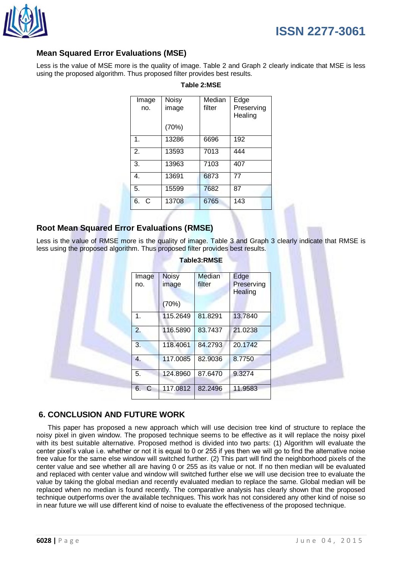

# **Mean Squared Error Evaluations (MSE)**

Less is the value of MSE more is the quality of image. Table 2 and Graph 2 clearly indicate that MSE is less using the proposed algorithm. Thus proposed filter provides best results.

| Noisy<br>image | Median<br>filter | Edge<br>Preserving<br>Healing |
|----------------|------------------|-------------------------------|
| (70%)          |                  |                               |
| 13286          | 6696             | 192                           |
| 13593          | 7013             | 444                           |
| 13963          | 7103             | 407                           |
| 13691          | 6873             | 77                            |
| 15599          | 7682             | 87                            |
| 13708          | 6765             | 143                           |
|                |                  |                               |

### **Table 2:MSE**

# **Root Mean Squared Error Evaluations (RMSE)**

Less is the value of RMSE more is the quality of image. Table 3 and Graph 3 clearly indicate that RMSE is less using the proposed algorithm. Thus proposed filter provides best results.

| Image<br>no. | <b>Noisy</b><br>image | Median<br>filter | Edge<br>Preserving<br>Healing |
|--------------|-----------------------|------------------|-------------------------------|
|              | (70%)                 |                  |                               |
| 1.           | 115.2649              | 81.8291          | 13.7840                       |
| 2.           | 116.5890              | 83.7437          | 21.0238                       |
| 3.           | 118.4061              | 84.2793          | 20.1742                       |
| 4.           | 117.0085              | 82.9036          | 8.7750                        |
| 5.           | 124.8960              | 87.6470          | 9.3274                        |
| 6.<br>C      | 117.0812              | 82.2496          | 11.9583                       |

#### **Table3:RMSE**

### **6. CONCLUSION AND FUTURE WORK**

 This paper has proposed a new approach which will use decision tree kind of structure to replace the noisy pixel in given window. The proposed technique seems to be effective as it will replace the noisy pixel with its best suitable alternative. Proposed method is divided into two parts: (1) Algorithm will evaluate the center pixel's value i.e. whether or not it is equal to 0 or 255 if yes then we will go to find the alternative noise free value for the same else window will switched further. (2) This part will find the neighborhood pixels of the center value and see whether all are having 0 or 255 as its value or not. If no then median will be evaluated and replaced with center value and window will switched further else we will use decision tree to evaluate the value by taking the global median and recently evaluated median to replace the same. Global median will be replaced when no median is found recently. The comparative analysis has clearly shown that the proposed technique outperforms over the available techniques. This work has not considered any other kind of noise so in near future we will use different kind of noise to evaluate the effectiveness of the proposed technique.

**ISSN 2277-3061**